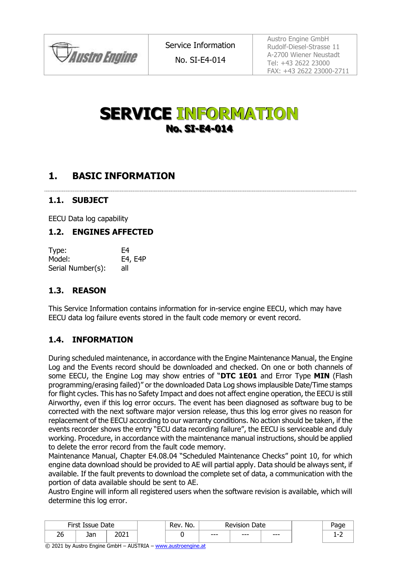

No. SI-E4-014

Austro Engine GmbH Rudolf-Diesel-Strasse 11 A-2700 Wiener Neustadt Tel: +43 2622 23000 FAX: +43 2622 23000-2711

# **SERVICE INFORMATION No. SI-E4-014**

# **1. BASIC INFORMATION**

#### **1.1. SUBJECT**

EECU Data log capability

#### **1.2. ENGINES AFFECTED**

| Type:             | F4      |
|-------------------|---------|
| Model:            | E4, E4P |
| Serial Number(s): | all     |

### **1.3. REASON**

This Service Information contains information for in-service engine EECU, which may have EECU data log failure events stored in the fault code memory or event record.

### **1.4. INFORMATION**

During scheduled maintenance, in accordance with the Engine Maintenance Manual, the Engine Log and the Events record should be downloaded and checked. On one or both channels of some EECU, the Engine Log may show entries of "**DTC 1E01** and Error Type **MIN** (Flash programming/erasing failed)" or the downloaded Data Log shows implausible Date/Time stamps for flight cycles. This has no Safety Impact and does not affect engine operation, the EECU is still Airworthy, even if this log error occurs. The event has been diagnosed as software bug to be corrected with the next software major version release, thus this log error gives no reason for replacement of the EECU according to our warranty conditions. No action should be taken, if the events recorder shows the entry "ECU data recording failure", the EECU is serviceable and duly working. Procedure, in accordance with the maintenance manual instructions, should be applied to delete the error record from the fault code memory.

Maintenance Manual, Chapter E4.08.04 "Scheduled Maintenance Checks" point 10, for which engine data download should be provided to AE will partial apply. Data should be always sent, if available. If the fault prevents to download the complete set of data, a communication with the portion of data available should be sent to AE.

Austro Engine will inform all registered users when the software revision is available, which will determine this log error.

| First Issue Date |            | No.<br>Rev | Revision.<br>Date |         |      |       |  |
|------------------|------------|------------|-------------------|---------|------|-------|--|
| ገረ<br>∠∪         | n r<br>JaH | 2021       |                   | $- - -$ | $--$ | $---$ |  |

© 2021 by Austro Engine GmbH – AUSTRIA – [www.austroengine.at](http://www.austroengine.at/)